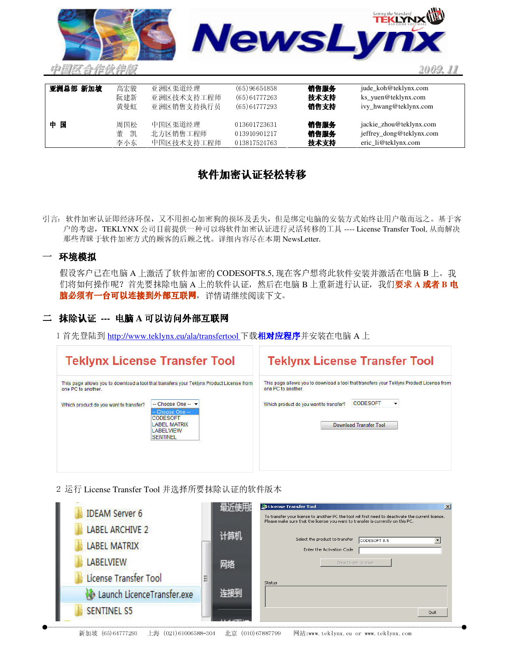

| 亚洲总部 新加坡 | 高宏骏    | 亚洲区渠道经理    | (65)96654858 | 销售服务 | jude_koh@teklynx.com     |
|----------|--------|------------|--------------|------|--------------------------|
|          | 阮建新    | 亚洲区技术支持工程师 | (65)64777263 | 技术支持 | ks_yuen@teklynx.com      |
|          | 黄曼虹    | 亚洲区销售支持执行员 | (65)64777293 | 销售支持 | ivy_hwang@teklynx.com    |
| 国<br>中   | 周国松    | 中国区渠道经理    | 013601723631 | 销售服务 | jackie_zhou@teklynx.com  |
|          |        |            |              |      |                          |
|          | 董<br>凯 | 北方区销售工程师   | 013910901217 | 销售服务 | jeffrey_dong@teklynx.com |
|          | 李小东    | 中国区技术支持工程师 | 013817524763 | 技术支持 | eric_li@teklynx.com      |

# 软件加密认证轻松转移

引言: 软件加密认证即经济环保, 又不用担心加密狗的损坏及丢失, 但是绑定电脑的安装方式始终让用户敬而远之。基于客 户的考虑, TEKLYNX公司目前提供一种可以将软件加密认证进行灵活转移的工具 ---- License Transfer Tool, 从而解决 那些青睐于软件加密方式的顾客的后顾之忧。详细内容尽在本期 NewsLetter

### 一 环境模拟

假设客户已在电脑A上激活了软件加密的CODESOFT8.5,现在客户想将此软件安装并激活在电脑B上。我 们将如何操作呢? 首先要抹除电脑 A 上的软件认证, 然后在电脑 B 上重新进行认证, 我们要求 A 或者 B 电 脑必须有一台可以连接到外部互联网,详情请继续阅读下文。

## 二 抹除认证 --- 电脑 A 可以访问外部互联网

1 首先登陆到 http://www.teklynx.eu/ala/transfertool 下载**相对应程序**并安装在电脑 A 上

| <b>Teklynx License Transfer Tool</b>                         |                                                                                                                                                                                                                        | <b>Teklynx License Transfer Tool</b>                         |                                                                                                                                              |  |
|--------------------------------------------------------------|------------------------------------------------------------------------------------------------------------------------------------------------------------------------------------------------------------------------|--------------------------------------------------------------|----------------------------------------------------------------------------------------------------------------------------------------------|--|
| one PC to another.<br>Which product do you want to transfer? | This page allows you to download a tool that transfers your Teklynx Product License from<br>$-$ Choose One $ \star$<br>– Choose One –<br><b>CODESOFT</b><br><b>LABEL MATRIX</b><br><b>LABELVIEW</b><br><b>SENTINEL</b> | one PC to another.<br>Which product do you want to transfer? | This page allows you to download a tool that transfers your Teklynx Product License from<br><b>CODESOFT</b><br><b>Download Transfer Tool</b> |  |

2 运行 License Transfer Tool 并选择所要抹除认证的软件版本

| <b>IDEAM Server 6</b>                         |   | 频功理用                      | License Transfer Tool<br>$\vert x \vert$<br>To transfer your license to another PC the tool will first need to deactivate the current license,<br>Please make sure that the license you want to transfer is currently on this PC. |
|-----------------------------------------------|---|---------------------------|-----------------------------------------------------------------------------------------------------------------------------------------------------------------------------------------------------------------------------------|
| <b>LABEL ARCHIVE 2</b><br><b>LABEL MATRIX</b> |   | 计算机                       | Select the product to transfer<br>CODESOFT 8.5<br>Enter the Activation Code                                                                                                                                                       |
| <b>LABELVIEW</b><br>License Transfer Tool     | Ë | 网络                        | Deactivate License                                                                                                                                                                                                                |
| Launch LicenceTransfer.exe                    |   | $\mathbb{E}[\mathcal{E}]$ | <b>Status</b>                                                                                                                                                                                                                     |
| <b>SENTINEL S5</b>                            |   |                           | Quit                                                                                                                                                                                                                              |